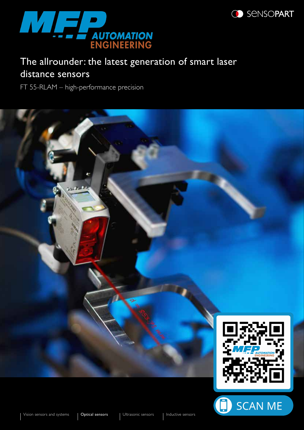

### **SENSOPART**

# The allrounder: the latest generation of smart laser distance sensors

FT 55-RLAM – high-performance precision



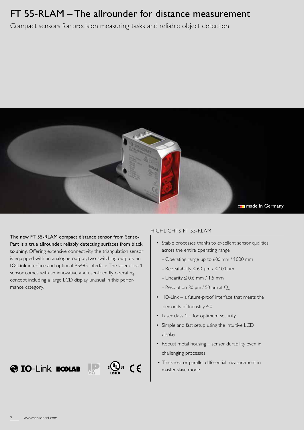## FT 55-RLAM – The allrounder for distance measurement

Compact sensors for precision measuring tasks and reliable object detection



The new FT 55-RLAM compact distance sensor from Senso-Part is a true allrounder, reliably detecting surfaces from black to shiny. Offering extensive connectivity, the triangulation sensor is equipped with an analogue output, two switching outputs, an IO-Link interface and optional RS485 interface. The laser class 1 sensor comes with an innovative and user-friendly operating concept including a large LCD display, unusual in this performance category.

#### HIGHLIGHTS FT 55-RLAM

- Stable processes thanks to excellent sensor qualities across the entire operating range
	- Operating range up to 600 mm / 1000 mm
	- Repeatability ≤ 60 µm / ≤ 100 µm
	- Linearity ≤ 0.6 mm / 1.5 mm
	- Resolution 30  $\mu$ m / 50  $\mu$ m at  $Q_{\text{A}}$
- IO-Link a future-proof interface that meets the demands of Industry 4.0
- $\bullet$  Laser class 1 for optimum security
- Simple and fast setup using the intuitive LCD display
- Robust metal housing sensor durability even in challenging processes
- Thickness or parallel differential measurement in master-slave mode

 $\bigotimes$  IO-Link **ECOLAB**  $\bigotimes_{\text{LISTB}} \bigotimes_{\text{LISTB}} G \in$ 



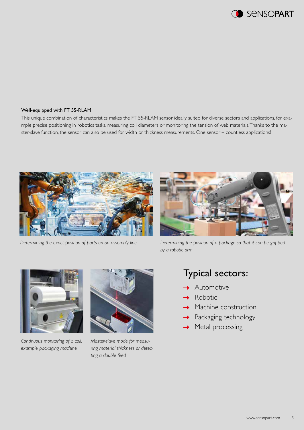

#### Well-equipped with FT 55-RLAM

This unique combination of characteristics makes the FT 55-RLAM sensor ideally suited for diverse sectors and applications, for example precise positioning in robotics tasks, measuring coil diameters or monitoring the tension of web materials. Thanks to the master-slave function, the sensor can also be used for width or thickness measurements. One sensor – countless applications!



*Determining the exact position of parts on an assembly line*



*Determining the position of a package so that it can be gripped by a robotic arm*



*Continuous monitoring of a coil, example packaging machine* 



*Master-slave mode for measuring material thickness or detecting a double feed*

### Typical sectors:

- Automotive
- Robotic
- Machine construction
- Packaging technology
- Metal processing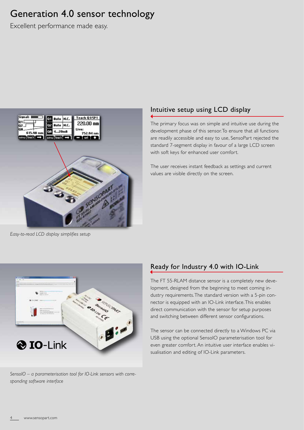### Generation 4.0 sensor technology

Excellent performance made easy.



#### *Easy-to-read LCD display simplifies setup*

### Intuitive setup using LCD display

The primary focus was on simple and intuitive use during the development phase of this sensor. To ensure that all functions are readily accessible and easy to use, SensoPart rejected the standard 7-segment display in favour of a large LCD screen with soft keys for enhanced user comfort.

The user receives instant feedback as settings and current values are visible directly on the screen.



*SensoIO – a parameterisation tool for IO-Link sensors with corresponding software interface*

### Ready for Industry 4.0 with IO-Link

The FT 55-RLAM distance sensor is a completely new development, designed from the beginning to meet coming industry requirements. The standard version with a 5-pin connector is equipped with an IO-Link interface. This enables direct communication with the sensor for setup purposes and switching between different sensor configurations.

The sensor can be connected directly to a Windows PC via USB using the optional SensoIO parameterisation tool for even greater comfort. An intuitive user interface enables visualisation and editing of IO-Link parameters.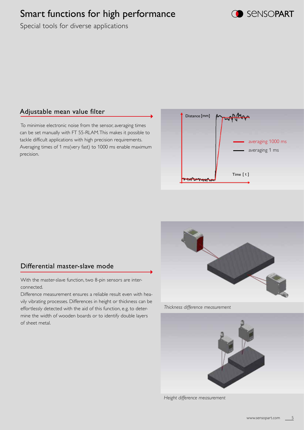# Smart functions for high performance



Special tools for diverse applications

#### Adjustable mean value filter

 To minimise electronic noise from the sensor, averaging times can be set manually with FT 55-RLAM. This makes it possible to tackle difficult applications with high precision requirements. Averaging times of 1 ms(very fast) to 1000 ms enable maximum precision.





With the master-slave function, two 8-pin sensors are interconnected.

Difference measurement ensures a reliable result even with heavily vibrating processes. Differences in height or thickness can be effortlessly detected with the aid of this function, e.g. to determine the width of wooden boards or to identify double layers of sheet metal.



*Thickness difference measurement*



*Height difference measurement*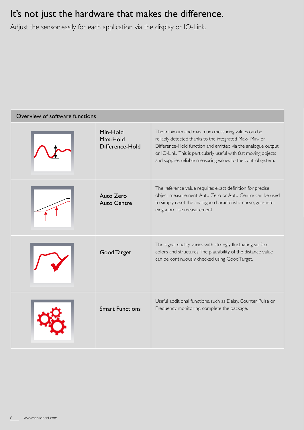## It's not just the hardware that makes the difference.

Adjust the sensor easily for each application via the display or IO-Link.

| Overview of software functions |                                         |                                                                                                                                                                                                                                                                                                                  |  |  |  |
|--------------------------------|-----------------------------------------|------------------------------------------------------------------------------------------------------------------------------------------------------------------------------------------------------------------------------------------------------------------------------------------------------------------|--|--|--|
|                                | Min-Hold<br>Max-Hold<br>Difference-Hold | The minimum and maximum measuring values can be<br>reliably detected thanks to the integrated Max-, Min- or<br>Difference-Hold function and emitted via the analogue output<br>or IO-Link. This is particularly useful with fast moving objects<br>and supplies reliable measuring values to the control system. |  |  |  |
|                                | Auto Zero<br><b>Auto Centre</b>         | The reference value requires exact definition for precise<br>object measurement. Auto Zero or Auto Centre can be used<br>to simply reset the analogue characteristic curve, guarante-<br>eing a precise measurement.                                                                                             |  |  |  |
|                                | <b>Good Target</b>                      | The signal quality varies with strongly fluctuating surface<br>colors and structures. The plausibility of the distance value<br>can be continuously checked using Good Target.                                                                                                                                   |  |  |  |
|                                | <b>Smart Functions</b>                  | Useful additional functions, such as Delay, Counter, Pulse or<br>Frequency monitoring, complete the package.                                                                                                                                                                                                     |  |  |  |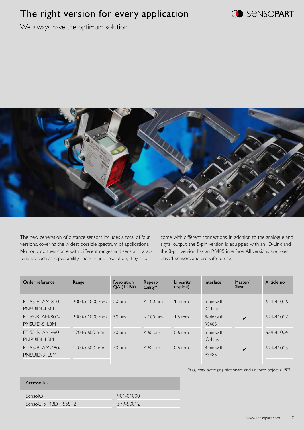# The right version for every application



We always have the optimum solution



The new generation of distance sensors includes a total of four versions, covering the widest possible spectrum of applications. Not only do they come with different ranges and sensor characteristics, such as repeatability, linearity and resolution, they also

come with different connections. In addition to the analogue and signal output, the 5-pin version is equipped with an IO-Link and the 8-pin version has an RS485 interface. All versions are laser class 1 sensors and are safe to use.

| Order reference                 | Range                   | <b>Resolution</b><br><b>QA (14 Bit)</b> | Repeat-<br>ability* | Linearity<br>(typical) | Interface                  | Master/<br>Slave  | Article no. |
|---------------------------------|-------------------------|-----------------------------------------|---------------------|------------------------|----------------------------|-------------------|-------------|
| FT 55-RLAM-800-<br>PNSUIDL-L5M  | 200 to 1000 mm          | $50 \mu m$                              | $\leq 100$ µm       | $1.5$ mm               | 5-pin with<br>$IO$ -Link   | $\qquad \qquad -$ | 624-41006   |
| FT 55-RLAM-800-<br>PNSUID-S1L8M | 200 to 1000 mm          | $50 \mu m$                              | $\leq 100$ µm       | $1.5$ mm               | 8-pin with<br><b>RS485</b> | $\checkmark$      | 624-41007   |
| FT 55-RLAM-480-<br>PNSUIDL-L5M  | 120 to $600 \text{ mm}$ | $30 \mu m$                              | $\leq 60$ µm        | $0.6$ mm               | 5-pin with<br>$IO$ -Link   |                   | 624-41004   |
| FT 55-RLAM-480-<br>PNSUID-S1L8M | 120 to $600 \text{ mm}$ | $30 \mu m$                              | $\leq 60 \mu m$     | $0.6$ mm               | 8-pin with<br><b>RS485</b> | $\checkmark$      | 624-41005   |

\*6σ, max. averaging, stationary and uniform object 6-90%

| Accessories           |           |
|-----------------------|-----------|
| SensolO               | 901-01000 |
| SensoClip MBD F 55ST2 | 579-50012 |
|                       |           |